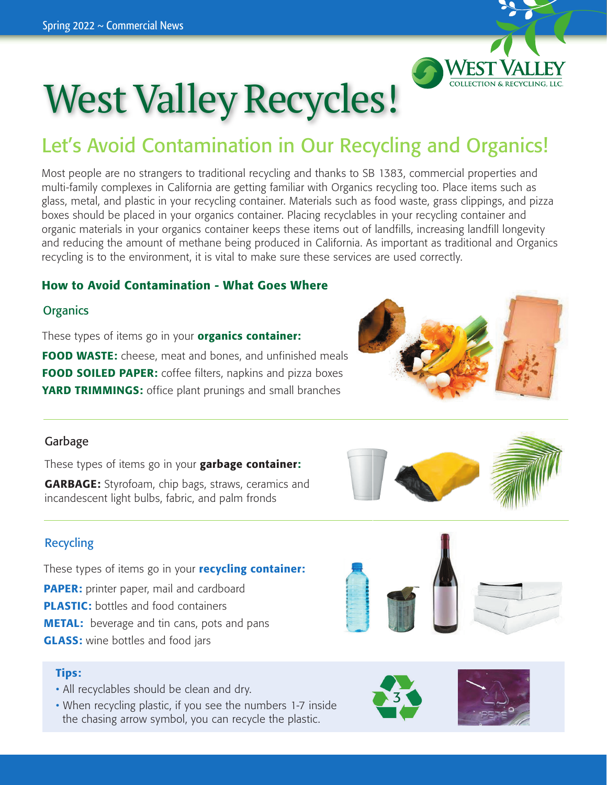

# West Valley Recycles!

### Let's Avoid Contamination in Our Recycling and Organics!

Most people are no strangers to traditional recycling and thanks to SB 1383, commercial properties and multi-family complexes in California are getting familiar with Organics recycling too. Place items such as glass, metal, and plastic in your recycling container. Materials such as food waste, grass clippings, and pizza boxes should be placed in your organics container. Placing recyclables in your recycling container and organic materials in your organics container keeps these items out of landfills, increasing landfill longevity and reducing the amount of methane being produced in California. As important as traditional and Organics recycling is to the environment, it is vital to make sure these services are used correctly.

### How to Avoid Contamination - What Goes Where

### **Organics**

These types of items go in your **organics container:** 

FOOD WASTE: cheese, meat and bones, and unfinished meals **FOOD SOILED PAPER:** coffee filters, napkins and pizza boxes **YARD TRIMMINGS:** office plant prunings and small branches



### Garbage

These types of items go in your **garbage container:** 

**GARBAGE:** Styrofoam, chip bags, straws, ceramics and incandescent light bulbs, fabric, and palm fronds

### Recycling

These types of items go in your **recycling container: PAPER:** printer paper, mail and cardboard PLASTIC: bottles and food containers **METAL:** beverage and tin cans, pots and pans **GLASS:** wine bottles and food jars

#### Tips:

- All recyclables should be clean and dry.
- When recycling plastic, if you see the numbers 1-7 inside the chasing arrow symbol, you can recycle the plastic.  $\mathbf{r}$  in the left corner- thank you  $\mathbf{r}$  $\ln$  plustic.